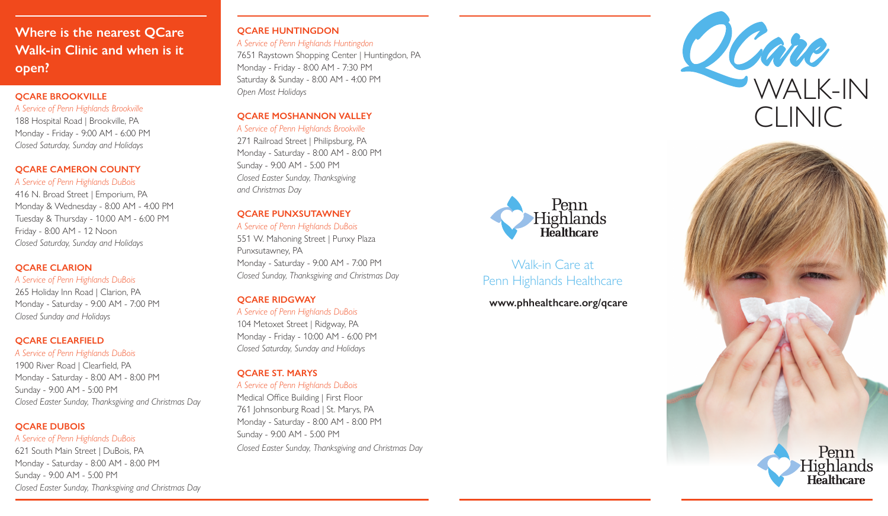# **Where is the nearest QCare Walk-in Clinic and when is it open?**

### **QCARE BROOKVILLE**

#### *A Service of Penn Highlands Brookville*

188 Hospital Road | Brookville, PA Monday - Friday - 9:00 AM - 6:00 PM *Closed Saturday, Sunday and Holidays*

### **QCARE CAMERON COUNTY**

### *A Service of Penn Highlands DuBois*

416 N. Broad Street | Emporium, PA Monday & Wednesday - 8:00 AM - 4:00 PM Tuesday & Thursday - 10:00 AM - 6:00 PM Friday - 8:00 AM - 12 Noon *Closed Saturday, Sunday and Holidays*

### **OCARE CLARION**

### *A Service of Penn Highlands DuBois*

265 Holiday Inn Road | Clarion, PA Monday - Saturday - 9:00 AM - 7:00 PM *Closed Sunday and Holidays*

### **QCARE CLEARFIELD**

# *A Service of Penn Highlands DuBois*

1900 River Road | Clearfield, PA Monday - Saturday - 8:00 AM - 8:00 PM Sunday - 9:00 AM - 5:00 PM *Closed Easter Sunday, Thanksgiving and Christmas Day*

# **QCARE DUBOIS**

*A Service of Penn Highlands DuBois* 621 South Main Street | DuBois, PA Monday - Saturday - 8:00 AM - 8:00 PM Sunday - 9:00 AM - 5:00 PM *Closed Easter Sunday, Thanksgiving and Christmas Day*

# **QCARE HUNTINGDON**

*A Service of Penn Highlands Huntingdon* 7651 Raystown Shopping Center | Huntingdon, PA Monday - Friday - 8:00 AM - 7:30 PM Saturday & Sunday - 8:00 AM - 4:00 PM *Open Most Holidays*

# **QCARE MOSHANNON VALLEY**

*A Service of Penn Highlands Brookville* 271 Railroad Street | Philipsburg, PA Monday - Saturday - 8:00 AM - 8:00 PM Sunday - 9:00 AM - 5:00 PM *Closed Easter Sunday, Thanksgiving and Christmas Day*

# **QCARE PUNXSUTAWNEY**

*A Service of Penn Highlands DuBois* 551 W. Mahoning Street | Punxy Plaza Punxsutawney, PA Monday - Saturday - 9:00 AM - 7:00 PM *Closed Sunday, Thanksgiving and Christmas Day* 

# **QCARE RIDGWAY**

# *A Service of Penn Highlands DuBois*

104 Metoxet Street | Ridgway, PA Monday - Friday - 10:00 AM - 6:00 PM *Closed Saturday, Sunday and Holidays*

# **QCARE ST. MARYS**

# *A Service of Penn Highlands DuBois*

Medical Office Building | First Floor 761 Johnsonburg Road | St. Marys, PA Monday - Saturday - 8:00 AM - 8:00 PM Sunday - 9:00 AM - 5:00 PM *Closed Easter Sunday, Thanksgiving and Christmas Day*



# Walk-in Care at Penn Highlands Healthcare

**www.phhealthcare.org/qcare**